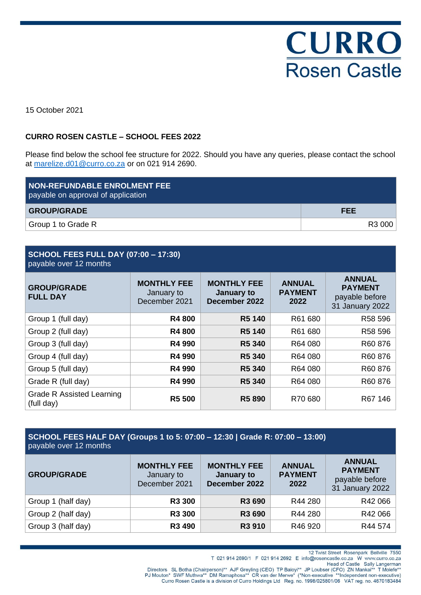

15 October 2021

## **CURRO ROSEN CASTLE – SCHOOL FEES 2022**

Please find below the school fee structure for 2022. Should you have any queries, please contact the school at [marelize.d01@curro.co.za](mailto:marelize.d01@curro.co.za) or on 021 914 2690.

| NON-REFUNDABLE ENROLMENT FEE<br>payable on approval of application |            |
|--------------------------------------------------------------------|------------|
| <b>GROUP/GRADE</b>                                                 | <b>FEE</b> |
| Group 1 to Grade R                                                 | R3 000     |

#### **SCHOOL FEES FULL DAY (07:00 – 17:30)** payable over 12 months

| <b>GROUP/GRADE</b><br><b>FULL DAY</b>   | <b>MONTHLY FEE</b><br>January to<br>December 2021 | <b>MONTHLY FEE</b><br>January to<br>December 2022 | <b>ANNUAL</b><br><b>PAYMENT</b><br>2022 | <b>ANNUAL</b><br><b>PAYMENT</b><br>payable before<br>31 January 2022 |
|-----------------------------------------|---------------------------------------------------|---------------------------------------------------|-----------------------------------------|----------------------------------------------------------------------|
| Group 1 (full day)                      | <b>R4800</b>                                      | <b>R5 140</b>                                     | R61 680                                 | R58 596                                                              |
| Group 2 (full day)                      | <b>R4800</b>                                      | <b>R5 140</b>                                     | R61 680                                 | R58 596                                                              |
| Group 3 (full day)                      | <b>R4 990</b>                                     | <b>R5 340</b>                                     | R64 080                                 | R60876                                                               |
| Group 4 (full day)                      | R4 990                                            | <b>R5 340</b>                                     | R64 080                                 | R60876                                                               |
| Group 5 (full day)                      | R4 990                                            | R5 340                                            | R64 080                                 | R60876                                                               |
| Grade R (full day)                      | <b>R4 990</b>                                     | <b>R5 340</b>                                     | R64 080                                 | R60876                                                               |
| Grade R Assisted Learning<br>(full day) | <b>R5 500</b>                                     | <b>R5 890</b>                                     | R70 680                                 | R67 146                                                              |

| SCHOOL FEES HALF DAY (Groups 1 to 5: 07:00 - 12:30   Grade R: 07:00 - 13:00)<br>payable over 12 months |                                                   |                                                   |                                         |                                                                      |
|--------------------------------------------------------------------------------------------------------|---------------------------------------------------|---------------------------------------------------|-----------------------------------------|----------------------------------------------------------------------|
| <b>GROUP/GRADE</b>                                                                                     | <b>MONTHLY FEE</b><br>January to<br>December 2021 | <b>MONTHLY FEE</b><br>January to<br>December 2022 | <b>ANNUAL</b><br><b>PAYMENT</b><br>2022 | <b>ANNUAL</b><br><b>PAYMENT</b><br>payable before<br>31 January 2022 |
| Group 1 (half day)                                                                                     | <b>R3 300</b>                                     | <b>R3 690</b>                                     | R44 280                                 | R42 066                                                              |
| Group 2 (half day)                                                                                     | <b>R3 300</b>                                     | R3 690                                            | R44 280                                 | R42 066                                                              |
| Group 3 (half day)                                                                                     | R3 490                                            | R3 910                                            | R46 920                                 | R44 574                                                              |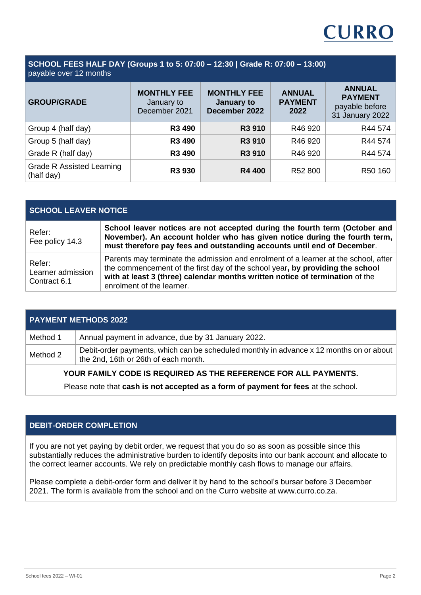

#### **SCHOOL FEES HALF DAY (Groups 1 to 5: 07:00 ‒ 12:30 | Grade R: 07:00 ‒ 13:00)** payable over 12 months

| <b>GROUP/GRADE</b>                             | <b>MONTHLY FEE</b><br>January to<br>December 2021 | <b>MONTHLY FEE</b><br>January to<br>December 2022 | <b>ANNUAL</b><br><b>PAYMENT</b><br>2022 | <b>ANNUAL</b><br><b>PAYMENT</b><br>payable before |
|------------------------------------------------|---------------------------------------------------|---------------------------------------------------|-----------------------------------------|---------------------------------------------------|
|                                                |                                                   |                                                   |                                         | 31 January 2022                                   |
| Group 4 (half day)                             | R3 490                                            | R3 910                                            | R46 920                                 | R44 574                                           |
| Group 5 (half day)                             | R3 490                                            | R3 910                                            | R46 920                                 | R44 574                                           |
| Grade R (half day)                             | R3 490                                            | R3 910                                            | R46 920                                 | R44 574                                           |
| <b>Grade R Assisted Learning</b><br>(half day) | R3 930                                            | <b>R4 400</b>                                     | R52 800                                 | R50 160                                           |

# **SCHOOL LEAVER NOTICE**

| Refer:<br>Fee policy 14.3                   | School leaver notices are not accepted during the fourth term (October and<br>November). An account holder who has given notice during the fourth term,<br>must therefore pay fees and outstanding accounts until end of December.                                                |
|---------------------------------------------|-----------------------------------------------------------------------------------------------------------------------------------------------------------------------------------------------------------------------------------------------------------------------------------|
| Refer:<br>Learner admission<br>Contract 6.1 | Parents may terminate the admission and enrolment of a learner at the school, after<br>the commencement of the first day of the school year, by providing the school<br>with at least 3 (three) calendar months written notice of termination of the<br>enrolment of the learner. |

| <b>PAYMENT METHODS 2022</b>                                     |                                                                                                                                 |  |
|-----------------------------------------------------------------|---------------------------------------------------------------------------------------------------------------------------------|--|
| Method 1                                                        | Annual payment in advance, due by 31 January 2022.                                                                              |  |
| Method 2                                                        | Debit-order payments, which can be scheduled monthly in advance x 12 months on or about<br>the 2nd, 16th or 26th of each month. |  |
| YOUR FAMILY CODE IS REQUIRED AS THE REFERENCE FOR ALL PAYMENTS. |                                                                                                                                 |  |

Please note that **cash is not accepted as a form of payment for fees** at the school.

## **DEBIT-ORDER COMPLETION**

If you are not yet paying by debit order, we request that you do so as soon as possible since this substantially reduces the administrative burden to identify deposits into our bank account and allocate to the correct learner accounts. We rely on predictable monthly cash flows to manage our affairs.

Please complete a debit-order form and deliver it by hand to the school's bursar before 3 December 2021. The form is available from the school and on the Curro website at www.curro.co.za.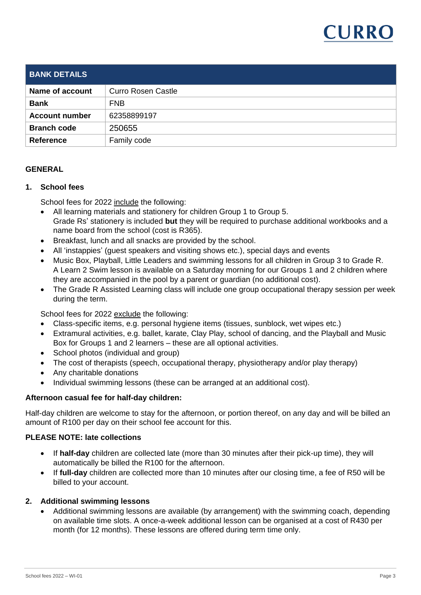

| <b>BANK DETAILS</b>    |                           |
|------------------------|---------------------------|
| <b>Name of account</b> | <b>Curro Rosen Castle</b> |
| <b>Bank</b>            | <b>FNB</b>                |
| <b>Account number</b>  | 62358899197               |
| <b>Branch code</b>     | 250655                    |
| <b>Reference</b>       | Family code               |

### **GENERAL**

### **1. School fees**

School fees for 2022 include the following:

- All learning materials and stationery for children Group 1 to Group 5. Grade Rs' stationery is included **but** they will be required to purchase additional workbooks and a name board from the school (cost is R365).
- Breakfast, lunch and all snacks are provided by the school.
- All 'instappies' (guest speakers and visiting shows etc.), special days and events
- Music Box, Playball, Little Leaders and swimming lessons for all children in Group 3 to Grade R. A Learn 2 Swim lesson is available on a Saturday morning for our Groups 1 and 2 children where they are accompanied in the pool by a parent or guardian (no additional cost).
- The Grade R Assisted Learning class will include one group occupational therapy session per week during the term.

School fees for 2022 exclude the following:

- Class-specific items, e.g. personal hygiene items (tissues, sunblock, wet wipes etc.)
- Extramural activities, e.g. ballet, karate, Clay Play, school of dancing, and the Playball and Music Box for Groups 1 and 2 learners – these are all optional activities.
- School photos (individual and group)
- The cost of therapists (speech, occupational therapy, physiotherapy and/or play therapy)
- Any charitable donations
- Individual swimming lessons (these can be arranged at an additional cost).

### **Afternoon casual fee for half-day children:**

Half-day children are welcome to stay for the afternoon, or portion thereof, on any day and will be billed an amount of R100 per day on their school fee account for this.

## **PLEASE NOTE: late collections**

- If **half-day** children are collected late (more than 30 minutes after their pick-up time), they will automatically be billed the R100 for the afternoon.
- If **full-day** children are collected more than 10 minutes after our closing time, a fee of R50 will be billed to your account.

### **2. Additional swimming lessons**

• Additional swimming lessons are available (by arrangement) with the swimming coach, depending on available time slots. A once-a-week additional lesson can be organised at a cost of R430 per month (for 12 months). These lessons are offered during term time only.